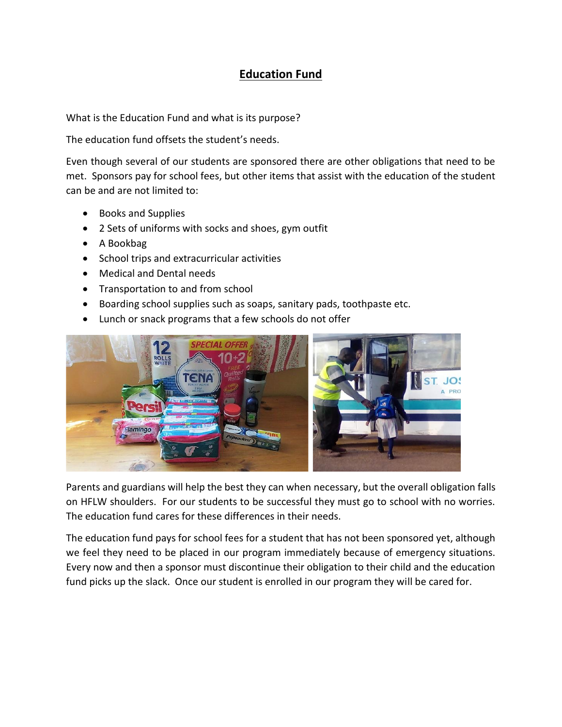## **Education Fund**

What is the Education Fund and what is its purpose?

The education fund offsets the student's needs.

Even though several of our students are sponsored there are other obligations that need to be met. Sponsors pay for school fees, but other items that assist with the education of the student can be and are not limited to:

- Books and Supplies
- 2 Sets of uniforms with socks and shoes, gym outfit
- A Bookbag
- School trips and extracurricular activities
- Medical and Dental needs
- Transportation to and from school
- Boarding school supplies such as soaps, sanitary pads, toothpaste etc.
- Lunch or snack programs that a few schools do not offer



Parents and guardians will help the best they can when necessary, but the overall obligation falls on HFLW shoulders. For our students to be successful they must go to school with no worries. The education fund cares for these differences in their needs.

The education fund pays for school fees for a student that has not been sponsored yet, although we feel they need to be placed in our program immediately because of emergency situations. Every now and then a sponsor must discontinue their obligation to their child and the education fund picks up the slack. Once our student is enrolled in our program they will be cared for.